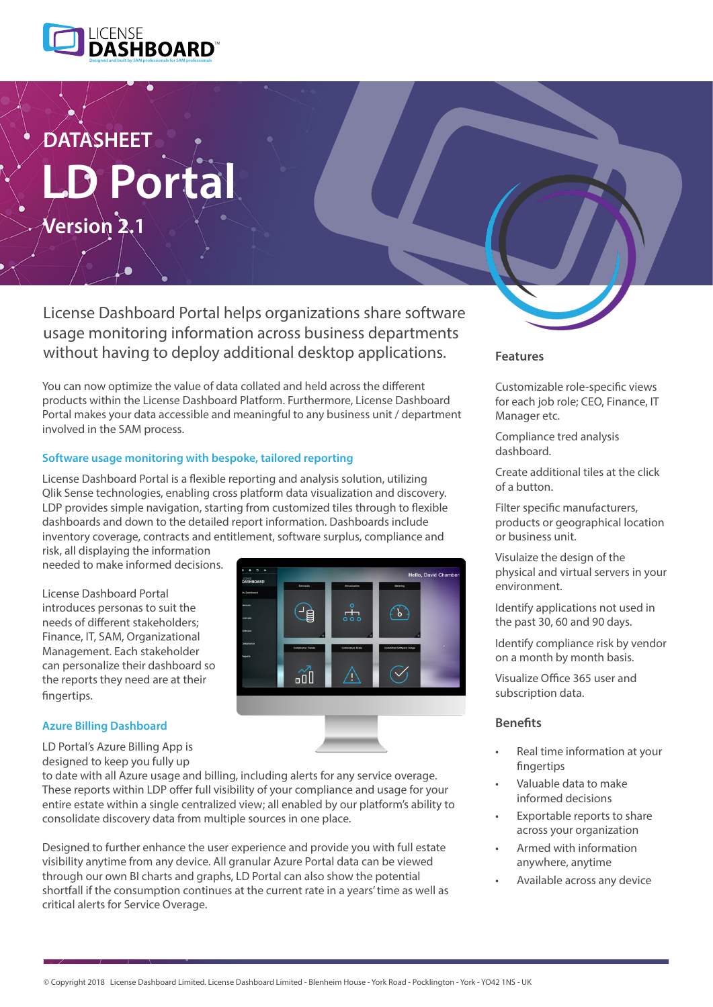

# **orta DATASHEET Version 2.1**

License Dashboard Portal helps organizations share software usage monitoring information across business departments without having to deploy additional desktop applications. **Features** 

You can now optimize the value of data collated and held across the different products within the License Dashboard Platform. Furthermore, License Dashboard Portal makes your data accessible and meaningful to any business unit / department involved in the SAM process.

#### **Software usage monitoring with bespoke, tailored reporting**

License Dashboard Portal is a flexible reporting and analysis solution, utilizing Qlik Sense technologies, enabling cross platform data visualization and discovery. LDP provides simple navigation, starting from customized tiles through to flexible dashboards and down to the detailed report information. Dashboards include inventory coverage, contracts and entitlement, software surplus, compliance and

risk, all displaying the information needed to make informed decisions.

License Dashboard Portal introduces personas to suit the needs of different stakeholders; Finance, IT, SAM, Organizational Management. Each stakeholder can personalize their dashboard so the reports they need are at their fingertips.



#### **Azure Billing Dashboard**

LD Portal's Azure Billing App is designed to keep you fully up

to date with all Azure usage and billing, including alerts for any service overage. These reports within LDP offer full visibility of your compliance and usage for your entire estate within a single centralized view; all enabled by our platform's ability to consolidate discovery data from multiple sources in one place.

Designed to further enhance the user experience and provide you with full estate visibility anytime from any device. All granular Azure Portal data can be viewed through our own BI charts and graphs, LD Portal can also show the potential shortfall if the consumption continues at the current rate in a years' time as well as critical alerts for Service Overage.

Customizable role-specific views for each job role; CEO, Finance, IT Manager etc.

Compliance tred analysis dashboard.

Create additional tiles at the click of a button.

Filter specific manufacturers, products or geographical location or business unit.

Visulaize the design of the physical and virtual servers in your environment.

Identify applications not used in the past 30, 60 and 90 days.

Identify compliance risk by vendor on a month by month basis.

Visualize Office 365 user and subscription data.

#### **Benefits**

- Real time information at your fingertips
- Valuable data to make informed decisions
- Exportable reports to share across your organization
- Armed with information anywhere, anytime
- Available across any device